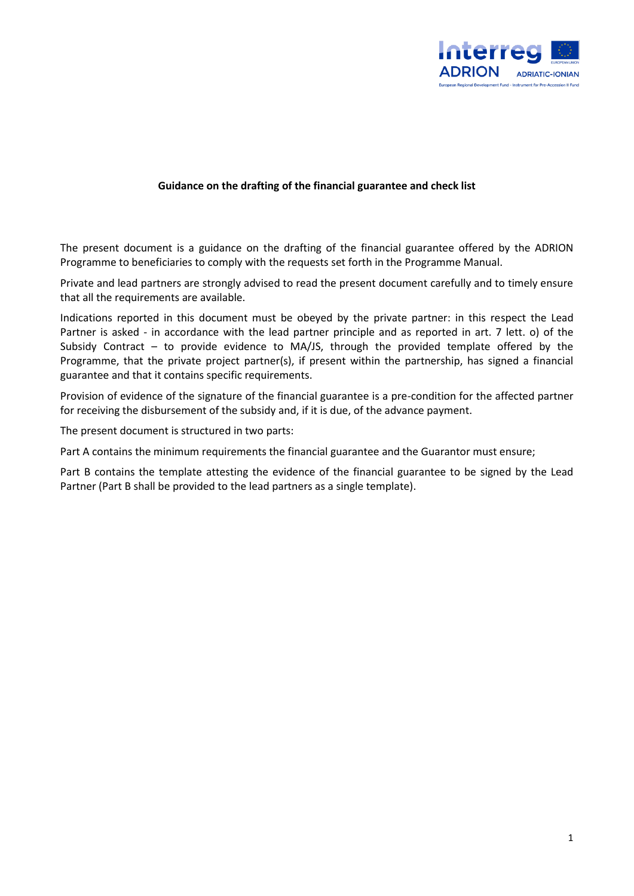

## **Guidance on the drafting of the financial guarantee and check list**

The present document is a guidance on the drafting of the financial guarantee offered by the ADRION Programme to beneficiaries to comply with the requests set forth in the Programme Manual.

Private and lead partners are strongly advised to read the present document carefully and to timely ensure that all the requirements are available.

Indications reported in this document must be obeyed by the private partner: in this respect the Lead Partner is asked - in accordance with the lead partner principle and as reported in art. 7 lett. o) of the Subsidy Contract – to provide evidence to MA/JS, through the provided template offered by the Programme, that the private project partner(s), if present within the partnership, has signed a financial guarantee and that it contains specific requirements.

Provision of evidence of the signature of the financial guarantee is a pre-condition for the affected partner for receiving the disbursement of the subsidy and, if it is due, of the advance payment.

The present document is structured in two parts:

Part A contains the minimum requirements the financial guarantee and the Guarantor must ensure;

Part B contains the template attesting the evidence of the financial guarantee to be signed by the Lead Partner (Part B shall be provided to the lead partners as a single template).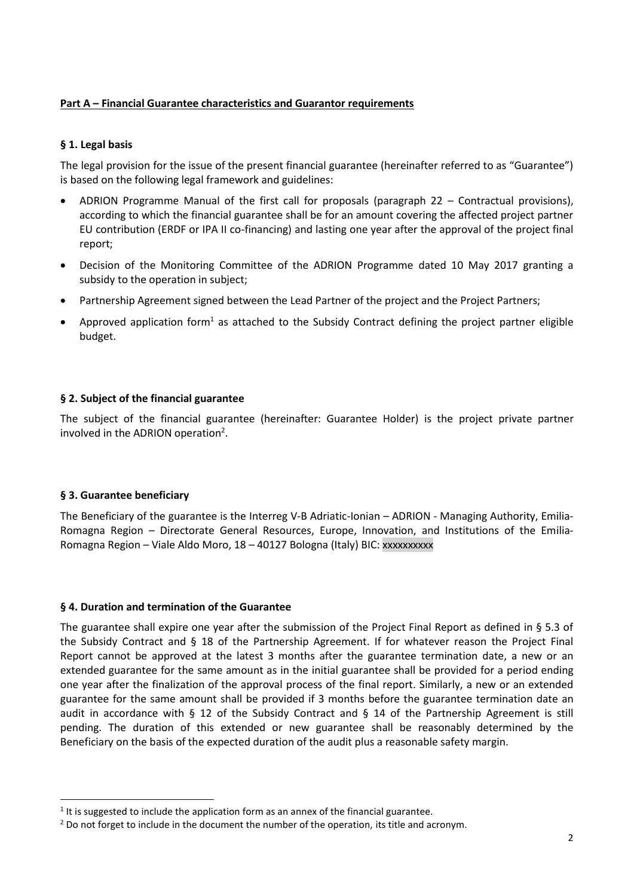# **Part A – Financial Guarantee characteristics and Guarantor requirements**

# **§ 1. Legal basis**

The legal provision for the issue of the present financial guarantee (hereinafter referred to as "Guarantee") is based on the following legal framework and guidelines:

- ADRION Programme Manual of the first call for proposals (paragraph 22 Contractual provisions), according to which the financial guarantee shall be for an amount covering the affected project partner EU contribution (ERDF or IPA II co-financing) and lasting one year after the approval of the project final report;
- Decision of the Monitoring Committee of the ADRION Programme dated 10 May 2017 granting a subsidy to the operation in subject;
- Partnership Agreement signed between the Lead Partner of the project and the Project Partners;
- Approved application form<sup>1</sup> as attached to the Subsidy Contract defining the project partner eligible budget.

# **§ 2. Subject of the financial guarantee**

The subject of the financial guarantee (hereinafter: Guarantee Holder) is the project private partner involved in the ADRION operation<sup>2</sup>.

### **§ 3. Guarantee beneficiary**

**.** 

The Beneficiary of the guarantee is the Interreg V-B Adriatic-Ionian – ADRION - Managing Authority, Emilia-Romagna Region – Directorate General Resources, Europe, Innovation, and Institutions of the Emilia-Romagna Region – Viale Aldo Moro, 18 – 40127 Bologna (Italy) BIC: xxxxxxxxxx

### **§ 4. Duration and termination of the Guarantee**

The guarantee shall expire one year after the submission of the Project Final Report as defined in § 5.3 of the Subsidy Contract and § 18 of the Partnership Agreement. If for whatever reason the Project Final Report cannot be approved at the latest 3 months after the guarantee termination date, a new or an extended guarantee for the same amount as in the initial guarantee shall be provided for a period ending one year after the finalization of the approval process of the final report. Similarly, a new or an extended guarantee for the same amount shall be provided if 3 months before the guarantee termination date an audit in accordance with § 12 of the Subsidy Contract and § 14 of the Partnership Agreement is still pending. The duration of this extended or new guarantee shall be reasonably determined by the Beneficiary on the basis of the expected duration of the audit plus a reasonable safety margin.

 $<sup>1</sup>$  It is suggested to include the application form as an annex of the financial guarantee.</sup>

<sup>&</sup>lt;sup>2</sup> Do not forget to include in the document the number of the operation, its title and acronym.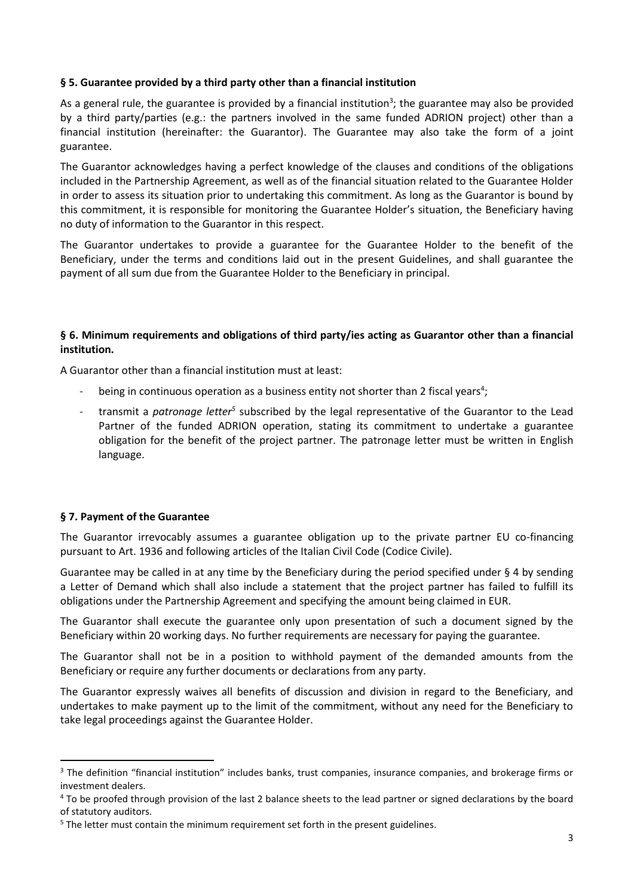# **§ 5. Guarantee provided by a third party other than a financial institution**

As a general rule, the guarantee is provided by a financial institution<sup>3</sup>; the guarantee may also be provided by a third party/parties (e.g.: the partners involved in the same funded ADRION project) other than a financial institution (hereinafter: the Guarantor). The Guarantee may also take the form of a joint guarantee.

The Guarantor acknowledges having a perfect knowledge of the clauses and conditions of the obligations included in the Partnership Agreement, as well as of the financial situation related to the Guarantee Holder in order to assess its situation prior to undertaking this commitment. As long as the Guarantor is bound by this commitment, it is responsible for monitoring the Guarantee Holder's situation, the Beneficiary having no duty of information to the Guarantor in this respect.

The Guarantor undertakes to provide a guarantee for the Guarantee Holder to the benefit of the Beneficiary, under the terms and conditions laid out in the present Guidelines, and shall guarantee the payment of all sum due from the Guarantee Holder to the Beneficiary in principal.

# **§ 6. Minimum requirements and obligations of third party/ies acting as Guarantor other than a financial institution.**

A Guarantor other than a financial institution must at least:

- being in continuous operation as a business entity not shorter than 2 fiscal years<sup>4</sup>;
- transmit a *patronage letter<sup>5</sup>* subscribed by the legal representative of the Guarantor to the Lead Partner of the funded ADRION operation, stating its commitment to undertake a guarantee obligation for the benefit of the project partner. The patronage letter must be written in English language.

# **§ 7. Payment of the Guarantee**

1

The Guarantor irrevocably assumes a guarantee obligation up to the private partner EU co-financing pursuant to Art. 1936 and following articles of the Italian Civil Code (Codice Civile).

Guarantee may be called in at any time by the Beneficiary during the period specified under  $\S 4$  by sending a Letter of Demand which shall also include a statement that the project partner has failed to fulfill its obligations under the Partnership Agreement and specifying the amount being claimed in EUR.

The Guarantor shall execute the guarantee only upon presentation of such a document signed by the Beneficiary within 20 working days. No further requirements are necessary for paying the guarantee.

The Guarantor shall not be in a position to withhold payment of the demanded amounts from the Beneficiary or require any further documents or declarations from any party.

The Guarantor expressly waives all benefits of discussion and division in regard to the Beneficiary, and undertakes to make payment up to the limit of the commitment, without any need for the Beneficiary to take legal proceedings against the Guarantee Holder.

<sup>&</sup>lt;sup>3</sup> The definition "financial institution" includes banks, [trust companies,](https://www.investopedia.com/terms/d/debtfinancing.asp) [insurance companies,](https://www.investopedia.com/terms/c/creditor.asp) and brokerage firms or investment [dealers.](https://www.investopedia.com/terms/b/bondholder.asp)

<sup>&</sup>lt;sup>4</sup> To be proofed through provision of the last 2 balance sheets to the lead partner or signed declarations by the board of statutory auditors.

<sup>&</sup>lt;sup>5</sup> The letter must contain the minimum requirement set forth in the present guidelines.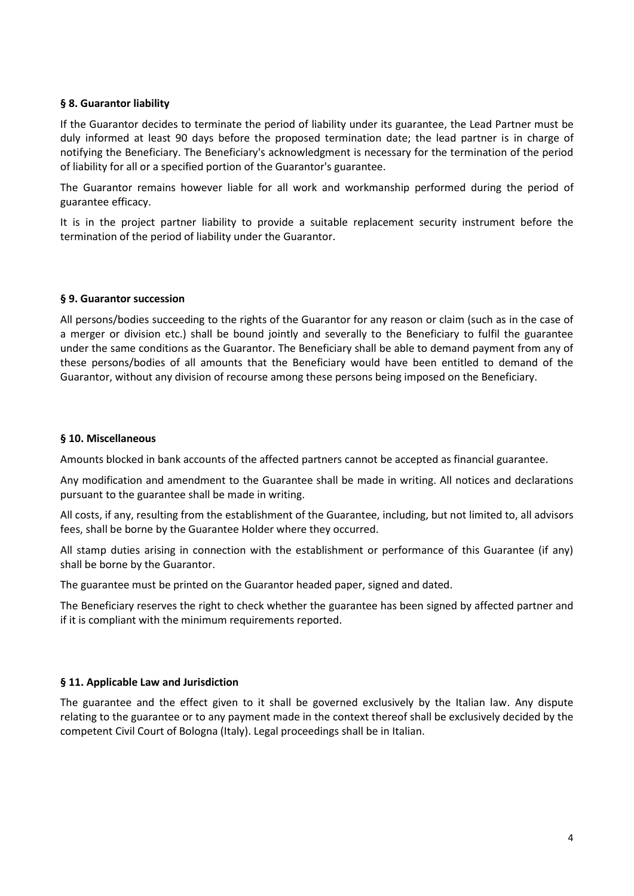# **§ 8. Guarantor liability**

If the Guarantor decides to terminate the period of liability under its guarantee, the Lead Partner must be duly informed at least 90 days before the proposed termination date; the lead partner is in charge of notifying the Beneficiary. The Beneficiary's acknowledgment is necessary for the termination of the period of liability for all or a specified portion of the Guarantor's guarantee.

The Guarantor remains however liable for all work and workmanship performed during the period of guarantee efficacy.

It is in the project partner liability to provide a suitable replacement security instrument before the termination of the period of liability under the Guarantor.

### **§ 9. Guarantor succession**

All persons/bodies succeeding to the rights of the Guarantor for any reason or claim (such as in the case of a merger or division etc.) shall be bound jointly and severally to the Beneficiary to fulfil the guarantee under the same conditions as the Guarantor. The Beneficiary shall be able to demand payment from any of these persons/bodies of all amounts that the Beneficiary would have been entitled to demand of the Guarantor, without any division of recourse among these persons being imposed on the Beneficiary.

### **§ 10. Miscellaneous**

Amounts blocked in bank accounts of the affected partners cannot be accepted as financial guarantee.

Any modification and amendment to the Guarantee shall be made in writing. All notices and declarations pursuant to the guarantee shall be made in writing.

All costs, if any, resulting from the establishment of the Guarantee, including, but not limited to, all advisors fees, shall be borne by the Guarantee Holder where they occurred.

All stamp duties arising in connection with the establishment or performance of this Guarantee (if any) shall be borne by the Guarantor.

The guarantee must be printed on the Guarantor headed paper, signed and dated.

The Beneficiary reserves the right to check whether the guarantee has been signed by affected partner and if it is compliant with the minimum requirements reported.

### **§ 11. Applicable Law and Jurisdiction**

The guarantee and the effect given to it shall be governed exclusively by the Italian law. Any dispute relating to the guarantee or to any payment made in the context thereof shall be exclusively decided by the competent Civil Court of Bologna (Italy). Legal proceedings shall be in Italian.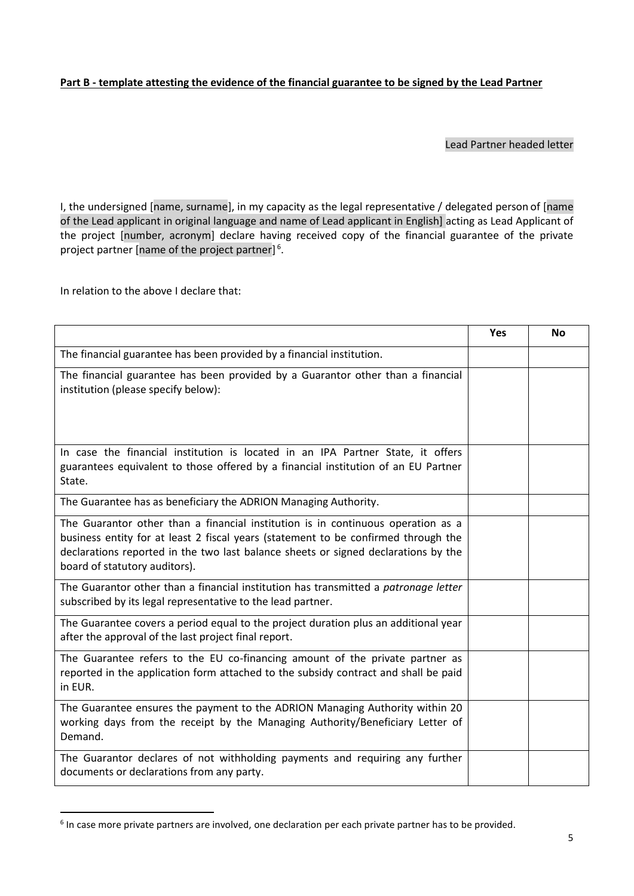# **Part B - template attesting the evidence of the financial guarantee to be signed by the Lead Partner**

# Lead Partner headed letter

I, the undersigned [name, surname], in my capacity as the legal representative / delegated person of [name of the Lead applicant in original language and name of Lead applicant in English] acting as Lead Applicant of the project [number, acronym] declare having received copy of the financial guarantee of the private project partner [name of the project partner]<sup>6</sup>.

In relation to the above I declare that:

1

|                                                                                                                                                                                                                                                                                               | <b>Yes</b> | <b>No</b> |
|-----------------------------------------------------------------------------------------------------------------------------------------------------------------------------------------------------------------------------------------------------------------------------------------------|------------|-----------|
| The financial guarantee has been provided by a financial institution.                                                                                                                                                                                                                         |            |           |
| The financial guarantee has been provided by a Guarantor other than a financial<br>institution (please specify below):                                                                                                                                                                        |            |           |
| In case the financial institution is located in an IPA Partner State, it offers<br>guarantees equivalent to those offered by a financial institution of an EU Partner<br>State.                                                                                                               |            |           |
| The Guarantee has as beneficiary the ADRION Managing Authority.                                                                                                                                                                                                                               |            |           |
| The Guarantor other than a financial institution is in continuous operation as a<br>business entity for at least 2 fiscal years (statement to be confirmed through the<br>declarations reported in the two last balance sheets or signed declarations by the<br>board of statutory auditors). |            |           |
| The Guarantor other than a financial institution has transmitted a patronage letter<br>subscribed by its legal representative to the lead partner.                                                                                                                                            |            |           |
| The Guarantee covers a period equal to the project duration plus an additional year<br>after the approval of the last project final report.                                                                                                                                                   |            |           |
| The Guarantee refers to the EU co-financing amount of the private partner as<br>reported in the application form attached to the subsidy contract and shall be paid<br>in EUR.                                                                                                                |            |           |
| The Guarantee ensures the payment to the ADRION Managing Authority within 20<br>working days from the receipt by the Managing Authority/Beneficiary Letter of<br>Demand.                                                                                                                      |            |           |
| The Guarantor declares of not withholding payments and requiring any further<br>documents or declarations from any party.                                                                                                                                                                     |            |           |

<sup>&</sup>lt;sup>6</sup> In case more private partners are involved, one declaration per each private partner has to be provided.